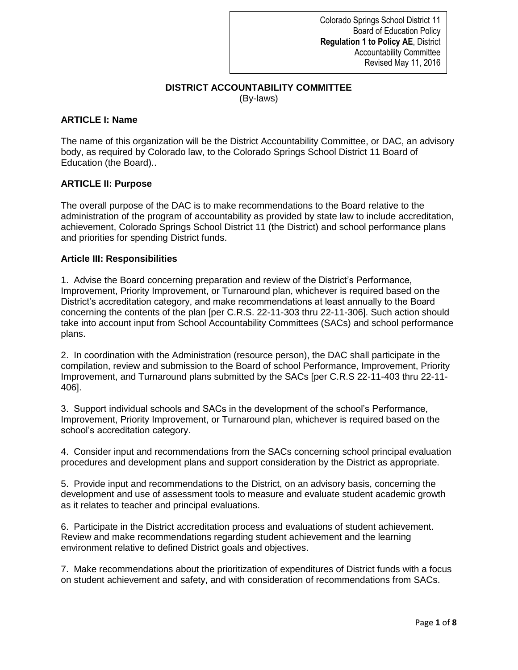## **DISTRICT ACCOUNTABILITY COMMITTEE** (By-laws)

## **ARTICLE I: Name**

The name of this organization will be the District Accountability Committee, or DAC, an advisory body, as required by Colorado law, to the Colorado Springs School District 11 Board of Education (the Board)..

## **ARTICLE II: Purpose**

The overall purpose of the DAC is to make recommendations to the Board relative to the administration of the program of accountability as provided by state law to include accreditation, achievement, Colorado Springs School District 11 (the District) and school performance plans and priorities for spending District funds.

#### **Article III: Responsibilities**

1. Advise the Board concerning preparation and review of the District's Performance, Improvement, Priority Improvement, or Turnaround plan, whichever is required based on the District's accreditation category, and make recommendations at least annually to the Board concerning the contents of the plan [per C.R.S. 22-11-303 thru 22-11-306]. Such action should take into account input from School Accountability Committees (SACs) and school performance plans.

2. In coordination with the Administration (resource person), the DAC shall participate in the compilation, review and submission to the Board of school Performance, Improvement, Priority Improvement, and Turnaround plans submitted by the SACs [per C.R.S 22-11-403 thru 22-11- 406].

3. Support individual schools and SACs in the development of the school's Performance, Improvement, Priority Improvement, or Turnaround plan, whichever is required based on the school's accreditation category.

4. Consider input and recommendations from the SACs concerning school principal evaluation procedures and development plans and support consideration by the District as appropriate.

5. Provide input and recommendations to the District, on an advisory basis, concerning the development and use of assessment tools to measure and evaluate student academic growth as it relates to teacher and principal evaluations.

6. Participate in the District accreditation process and evaluations of student achievement. Review and make recommendations regarding student achievement and the learning environment relative to defined District goals and objectives.

7. Make recommendations about the prioritization of expenditures of District funds with a focus on student achievement and safety, and with consideration of recommendations from SACs.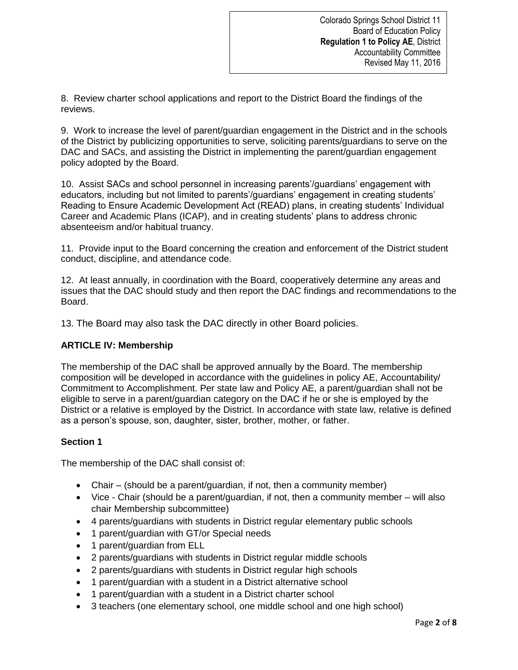8. Review charter school applications and report to the District Board the findings of the reviews.

9. Work to increase the level of parent/guardian engagement in the District and in the schools of the District by publicizing opportunities to serve, soliciting parents/guardians to serve on the DAC and SACs, and assisting the District in implementing the parent/guardian engagement policy adopted by the Board.

10. Assist SACs and school personnel in increasing parents'/guardians' engagement with educators, including but not limited to parents'/guardians' engagement in creating students' Reading to Ensure Academic Development Act (READ) plans, in creating students' Individual Career and Academic Plans (ICAP), and in creating students' plans to address chronic absenteeism and/or habitual truancy.

11. Provide input to the Board concerning the creation and enforcement of the District student conduct, discipline, and attendance code.

12. At least annually, in coordination with the Board, cooperatively determine any areas and issues that the DAC should study and then report the DAC findings and recommendations to the Board.

13. The Board may also task the DAC directly in other Board policies.

# **ARTICLE IV: Membership**

The membership of the DAC shall be approved annually by the Board. The membership composition will be developed in accordance with the guidelines in policy AE, Accountability/ Commitment to Accomplishment. Per state law and Policy AE, a parent/guardian shall not be eligible to serve in a parent/guardian category on the DAC if he or she is employed by the District or a relative is employed by the District. In accordance with state law, relative is defined as a person's spouse, son, daughter, sister, brother, mother, or father.

# **Section 1**

The membership of the DAC shall consist of:

- Chair (should be a parent/guardian, if not, then a community member)
- Vice Chair (should be a parent/guardian, if not, then a community member will also chair Membership subcommittee)
- 4 parents/guardians with students in District regular elementary public schools
- 1 parent/guardian with GT/or Special needs
- 1 parent/guardian from ELL
- 2 parents/guardians with students in District regular middle schools
- 2 parents/guardians with students in District regular high schools
- 1 parent/guardian with a student in a District alternative school
- 1 parent/guardian with a student in a District charter school
- 3 teachers (one elementary school, one middle school and one high school)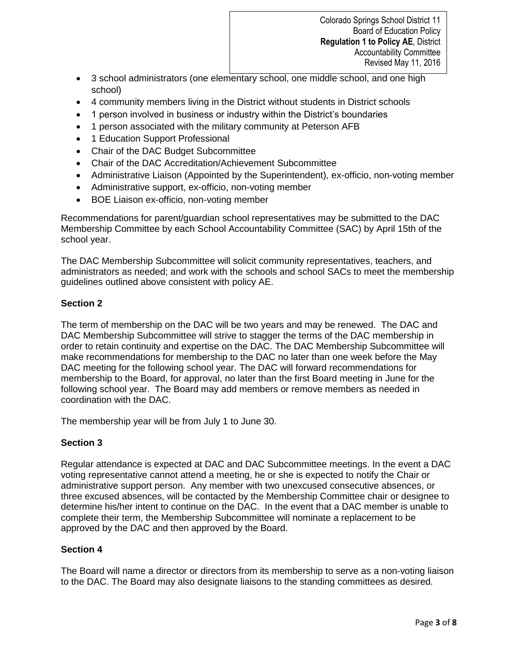- 3 school administrators (one elementary school, one middle school, and one high school)
- 4 community members living in the District without students in District schools
- 1 person involved in business or industry within the District's boundaries
- 1 person associated with the military community at Peterson AFB
- 1 Education Support Professional
- Chair of the DAC Budget Subcommittee
- Chair of the DAC Accreditation/Achievement Subcommittee
- Administrative Liaison (Appointed by the Superintendent), ex-officio, non-voting member
- Administrative support, ex-officio, non-voting member
- BOE Liaison ex-officio, non-voting member

Recommendations for parent/guardian school representatives may be submitted to the DAC Membership Committee by each School Accountability Committee (SAC) by April 15th of the school year.

The DAC Membership Subcommittee will solicit community representatives, teachers, and administrators as needed; and work with the schools and school SACs to meet the membership guidelines outlined above consistent with policy AE.

## **Section 2**

The term of membership on the DAC will be two years and may be renewed. The DAC and DAC Membership Subcommittee will strive to stagger the terms of the DAC membership in order to retain continuity and expertise on the DAC. The DAC Membership Subcommittee will make recommendations for membership to the DAC no later than one week before the May DAC meeting for the following school year. The DAC will forward recommendations for membership to the Board, for approval, no later than the first Board meeting in June for the following school year. The Board may add members or remove members as needed in coordination with the DAC.

The membership year will be from July 1 to June 30.

# **Section 3**

Regular attendance is expected at DAC and DAC Subcommittee meetings. In the event a DAC voting representative cannot attend a meeting, he or she is expected to notify the Chair or administrative support person. Any member with two unexcused consecutive absences, or three excused absences, will be contacted by the Membership Committee chair or designee to determine his/her intent to continue on the DAC. In the event that a DAC member is unable to complete their term, the Membership Subcommittee will nominate a replacement to be approved by the DAC and then approved by the Board.

## **Section 4**

The Board will name a director or directors from its membership to serve as a non-voting liaison to the DAC. The Board may also designate liaisons to the standing committees as desired.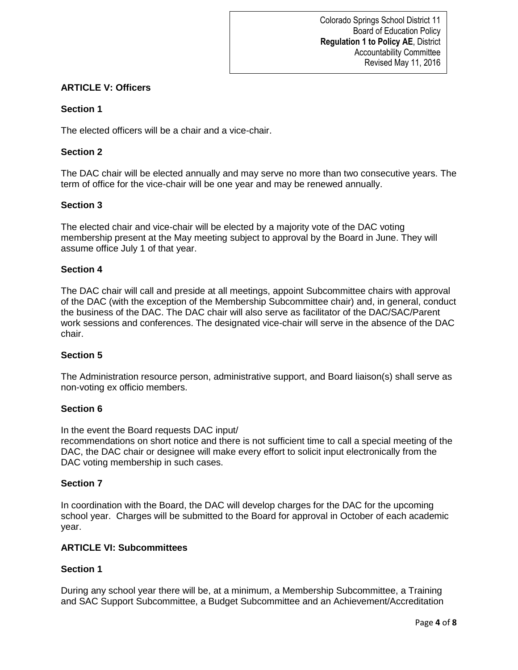# **ARTICLE V: Officers**

## **Section 1**

The elected officers will be a chair and a vice-chair.

## **Section 2**

The DAC chair will be elected annually and may serve no more than two consecutive years. The term of office for the vice-chair will be one year and may be renewed annually.

## **Section 3**

The elected chair and vice-chair will be elected by a majority vote of the DAC voting membership present at the May meeting subject to approval by the Board in June. They will assume office July 1 of that year.

## **Section 4**

The DAC chair will call and preside at all meetings, appoint Subcommittee chairs with approval of the DAC (with the exception of the Membership Subcommittee chair) and, in general, conduct the business of the DAC. The DAC chair will also serve as facilitator of the DAC/SAC/Parent work sessions and conferences. The designated vice-chair will serve in the absence of the DAC chair.

## **Section 5**

The Administration resource person, administrative support, and Board liaison(s) shall serve as non-voting ex officio members.

## **Section 6**

In the event the Board requests DAC input/

recommendations on short notice and there is not sufficient time to call a special meeting of the DAC, the DAC chair or designee will make every effort to solicit input electronically from the DAC voting membership in such cases.

## **Section 7**

In coordination with the Board, the DAC will develop charges for the DAC for the upcoming school year. Charges will be submitted to the Board for approval in October of each academic year.

## **ARTICLE VI: Subcommittees**

## **Section 1**

During any school year there will be, at a minimum, a Membership Subcommittee, a Training and SAC Support Subcommittee, a Budget Subcommittee and an Achievement/Accreditation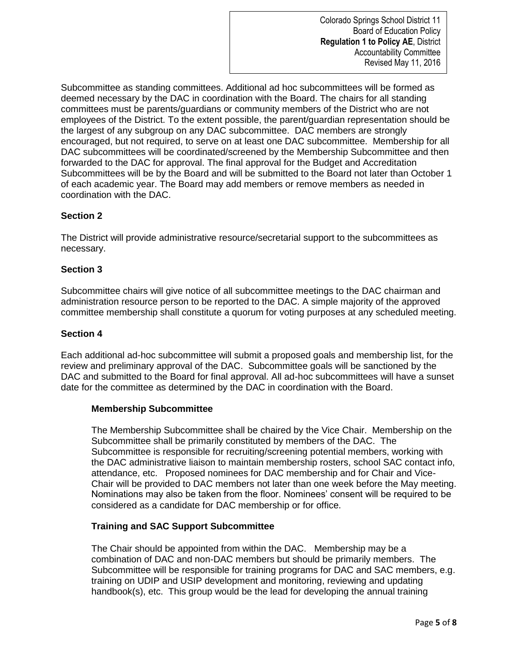Subcommittee as standing committees. Additional ad hoc subcommittees will be formed as deemed necessary by the DAC in coordination with the Board. The chairs for all standing committees must be parents/guardians or community members of the District who are not employees of the District. To the extent possible, the parent/guardian representation should be the largest of any subgroup on any DAC subcommittee. DAC members are strongly encouraged, but not required, to serve on at least one DAC subcommittee. Membership for all DAC subcommittees will be coordinated/screened by the Membership Subcommittee and then forwarded to the DAC for approval. The final approval for the Budget and Accreditation Subcommittees will be by the Board and will be submitted to the Board not later than October 1 of each academic year. The Board may add members or remove members as needed in coordination with the DAC.

## **Section 2**

The District will provide administrative resource/secretarial support to the subcommittees as necessary.

## **Section 3**

Subcommittee chairs will give notice of all subcommittee meetings to the DAC chairman and administration resource person to be reported to the DAC. A simple majority of the approved committee membership shall constitute a quorum for voting purposes at any scheduled meeting.

#### **Section 4**

Each additional ad-hoc subcommittee will submit a proposed goals and membership list, for the review and preliminary approval of the DAC. Subcommittee goals will be sanctioned by the DAC and submitted to the Board for final approval. All ad-hoc subcommittees will have a sunset date for the committee as determined by the DAC in coordination with the Board.

#### **Membership Subcommittee**

The Membership Subcommittee shall be chaired by the Vice Chair. Membership on the Subcommittee shall be primarily constituted by members of the DAC. The Subcommittee is responsible for recruiting/screening potential members, working with the DAC administrative liaison to maintain membership rosters, school SAC contact info, attendance, etc. Proposed nominees for DAC membership and for Chair and Vice-Chair will be provided to DAC members not later than one week before the May meeting. Nominations may also be taken from the floor. Nominees' consent will be required to be considered as a candidate for DAC membership or for office.

## **Training and SAC Support Subcommittee**

The Chair should be appointed from within the DAC. Membership may be a combination of DAC and non-DAC members but should be primarily members. The Subcommittee will be responsible for training programs for DAC and SAC members, e.g. training on UDIP and USIP development and monitoring, reviewing and updating handbook(s), etc. This group would be the lead for developing the annual training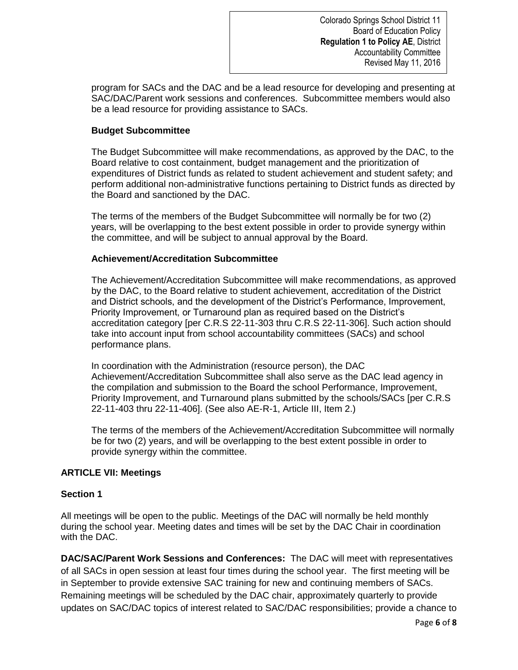program for SACs and the DAC and be a lead resource for developing and presenting at SAC/DAC/Parent work sessions and conferences. Subcommittee members would also be a lead resource for providing assistance to SACs.

## **Budget Subcommittee**

The Budget Subcommittee will make recommendations, as approved by the DAC, to the Board relative to cost containment, budget management and the prioritization of expenditures of District funds as related to student achievement and student safety; and perform additional non-administrative functions pertaining to District funds as directed by the Board and sanctioned by the DAC.

The terms of the members of the Budget Subcommittee will normally be for two (2) years, will be overlapping to the best extent possible in order to provide synergy within the committee, and will be subject to annual approval by the Board.

## **Achievement/Accreditation Subcommittee**

The Achievement/Accreditation Subcommittee will make recommendations, as approved by the DAC, to the Board relative to student achievement, accreditation of the District and District schools, and the development of the District's Performance, Improvement, Priority Improvement, or Turnaround plan as required based on the District's accreditation category [per C.R.S 22-11-303 thru C.R.S 22-11-306]. Such action should take into account input from school accountability committees (SACs) and school performance plans.

In coordination with the Administration (resource person), the DAC Achievement/Accreditation Subcommittee shall also serve as the DAC lead agency in the compilation and submission to the Board the school Performance, Improvement, Priority Improvement, and Turnaround plans submitted by the schools/SACs [per C.R.S 22-11-403 thru 22-11-406]. (See also AE-R-1, Article III, Item 2.)

The terms of the members of the Achievement/Accreditation Subcommittee will normally be for two (2) years, and will be overlapping to the best extent possible in order to provide synergy within the committee.

# **ARTICLE VII: Meetings**

## **Section 1**

All meetings will be open to the public. Meetings of the DAC will normally be held monthly during the school year. Meeting dates and times will be set by the DAC Chair in coordination with the DAC.

**DAC/SAC/Parent Work Sessions and Conferences:** The DAC will meet with representatives of all SACs in open session at least four times during the school year. The first meeting will be in September to provide extensive SAC training for new and continuing members of SACs. Remaining meetings will be scheduled by the DAC chair, approximately quarterly to provide updates on SAC/DAC topics of interest related to SAC/DAC responsibilities; provide a chance to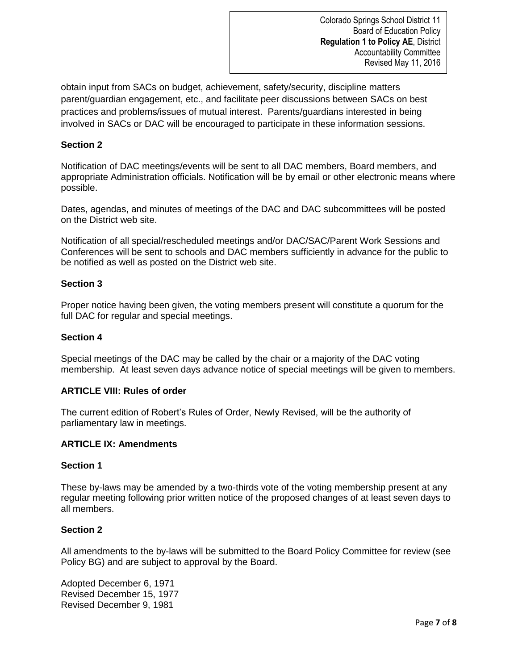obtain input from SACs on budget, achievement, safety/security, discipline matters parent/guardian engagement, etc., and facilitate peer discussions between SACs on best practices and problems/issues of mutual interest. Parents/guardians interested in being involved in SACs or DAC will be encouraged to participate in these information sessions.

## **Section 2**

Notification of DAC meetings/events will be sent to all DAC members, Board members, and appropriate Administration officials. Notification will be by email or other electronic means where possible.

Dates, agendas, and minutes of meetings of the DAC and DAC subcommittees will be posted on the District web site.

Notification of all special/rescheduled meetings and/or DAC/SAC/Parent Work Sessions and Conferences will be sent to schools and DAC members sufficiently in advance for the public to be notified as well as posted on the District web site.

## **Section 3**

Proper notice having been given, the voting members present will constitute a quorum for the full DAC for regular and special meetings.

## **Section 4**

Special meetings of the DAC may be called by the chair or a majority of the DAC voting membership. At least seven days advance notice of special meetings will be given to members.

## **ARTICLE VIII: Rules of order**

The current edition of Robert's Rules of Order, Newly Revised, will be the authority of parliamentary law in meetings.

## **ARTICLE IX: Amendments**

## **Section 1**

These by-laws may be amended by a two-thirds vote of the voting membership present at any regular meeting following prior written notice of the proposed changes of at least seven days to all members.

## **Section 2**

All amendments to the by-laws will be submitted to the Board Policy Committee for review (see Policy BG) and are subject to approval by the Board.

Adopted December 6, 1971 Revised December 15, 1977 Revised December 9, 1981